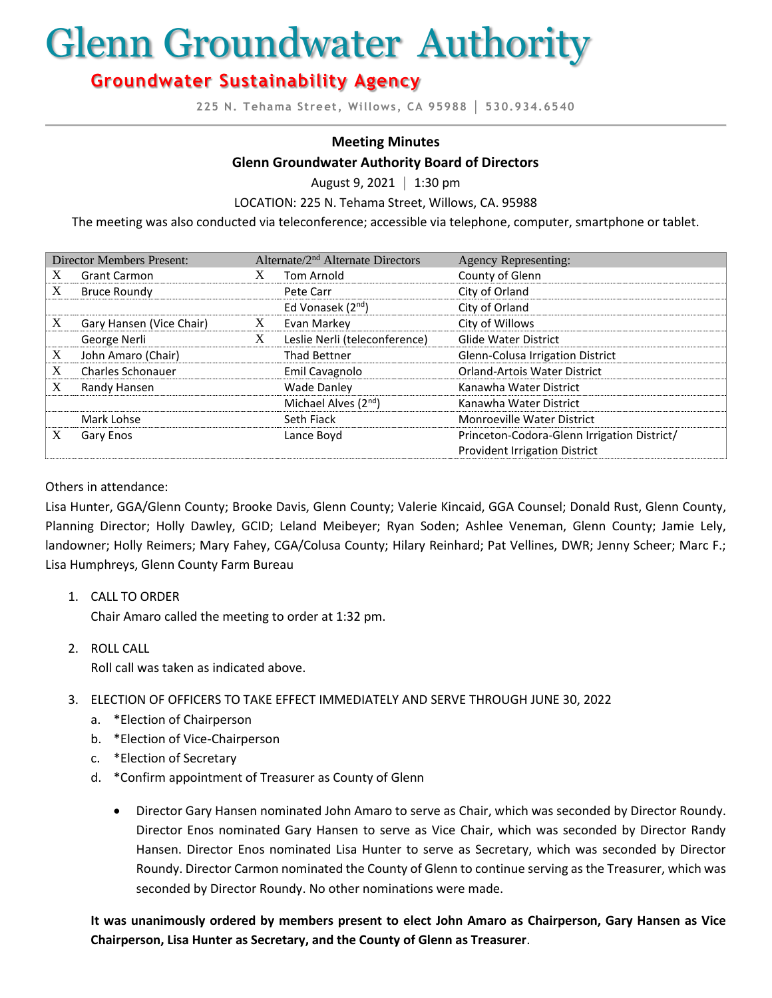# Glenn Groundwater Authority

# **Groundwater Sustainability Agency**

**225 N. Tehama Street, Willows, CA 95988 │ 530.934.6540**

#### **Meeting Minutes**

#### **Glenn Groundwater Authority Board of Directors**

August 9, 2021 **│** 1:30 pm

LOCATION: 225 N. Tehama Street, Willows, CA. 95988

The meeting was also conducted via teleconference; accessible via telephone, computer, smartphone or tablet.

| <b>Director Members Present:</b> |                          | Alternate/2 <sup>nd</sup> Alternate Directors |                                  | <b>Agency Representing:</b>                 |
|----------------------------------|--------------------------|-----------------------------------------------|----------------------------------|---------------------------------------------|
| X                                | <b>Grant Carmon</b>      |                                               | <b>Tom Arnold</b>                | County of Glenn                             |
| X                                | <b>Bruce Roundy</b>      |                                               | Pete Carr                        | City of Orland                              |
|                                  |                          |                                               | Ed Vonasek $(2^{nd})$            | City of Orland                              |
| X                                | Gary Hansen (Vice Chair) | X                                             | Evan Markey                      | City of Willows                             |
|                                  | George Nerli             | X                                             | Leslie Nerli (teleconference)    | <b>Glide Water District</b>                 |
| X                                | John Amaro (Chair)       |                                               | <b>Thad Bettner</b>              | Glenn-Colusa Irrigation District            |
| X                                | <b>Charles Schonauer</b> |                                               | Emil Cavagnolo                   | <b>Orland-Artois Water District</b>         |
| X                                | Randy Hansen             |                                               | <b>Wade Danley</b>               | Kanawha Water District                      |
|                                  |                          |                                               | Michael Alves (2 <sup>nd</sup> ) | Kanawha Water District                      |
|                                  | Mark Lohse               |                                               | Seth Fiack                       | <b>Monroeville Water District</b>           |
| X                                | Gary Enos                |                                               | Lance Boyd                       | Princeton-Codora-Glenn Irrigation District/ |
|                                  |                          |                                               |                                  | <b>Provident Irrigation District</b>        |

#### Others in attendance:

Lisa Hunter, GGA/Glenn County; Brooke Davis, Glenn County; Valerie Kincaid, GGA Counsel; Donald Rust, Glenn County, Planning Director; Holly Dawley, GCID; Leland Meibeyer; Ryan Soden; Ashlee Veneman, Glenn County; Jamie Lely, landowner; Holly Reimers; Mary Fahey, CGA/Colusa County; Hilary Reinhard; Pat Vellines, DWR; Jenny Scheer; Marc F.; Lisa Humphreys, Glenn County Farm Bureau

1. CALL TO ORDER

Chair Amaro called the meeting to order at 1:32 pm.

2. ROLL CALL Roll call was taken as indicated above.

#### 3. ELECTION OF OFFICERS TO TAKE EFFECT IMMEDIATELY AND SERVE THROUGH JUNE 30, 2022

- a. \*Election of Chairperson
- b. \*Election of Vice-Chairperson
- c. \*Election of Secretary
- d. \*Confirm appointment of Treasurer as County of Glenn
	- Director Gary Hansen nominated John Amaro to serve as Chair, which was seconded by Director Roundy. Director Enos nominated Gary Hansen to serve as Vice Chair, which was seconded by Director Randy Hansen. Director Enos nominated Lisa Hunter to serve as Secretary, which was seconded by Director Roundy. Director Carmon nominated the County of Glenn to continue serving as the Treasurer, which was seconded by Director Roundy. No other nominations were made.

**It was unanimously ordered by members present to elect John Amaro as Chairperson, Gary Hansen as Vice Chairperson, Lisa Hunter as Secretary, and the County of Glenn as Treasurer**.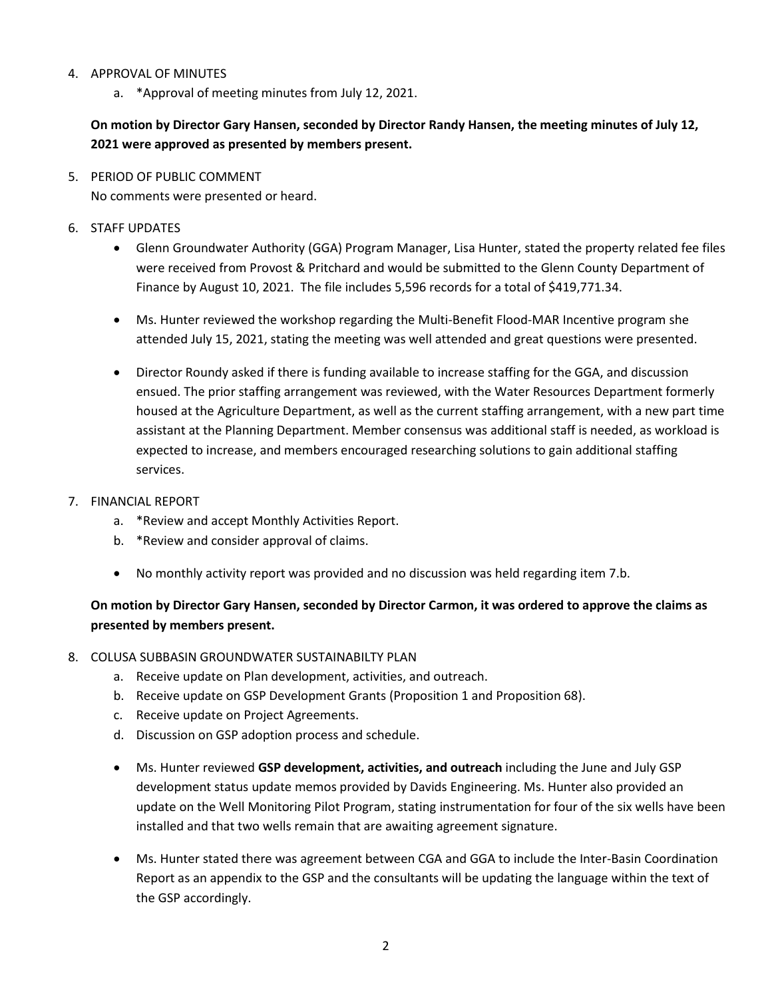#### 4. APPROVAL OF MINUTES

a. \*Approval of meeting minutes from July 12, 2021.

**On motion by Director Gary Hansen, seconded by Director Randy Hansen, the meeting minutes of July 12, 2021 were approved as presented by members present.** 

- 5. PERIOD OF PUBLIC COMMENT No comments were presented or heard.
- 6. STAFF UPDATES
	- Glenn Groundwater Authority (GGA) Program Manager, Lisa Hunter, stated the property related fee files were received from Provost & Pritchard and would be submitted to the Glenn County Department of Finance by August 10, 2021. The file includes 5,596 records for a total of \$419,771.34.
	- Ms. Hunter reviewed the workshop regarding the Multi-Benefit Flood-MAR Incentive program she attended July 15, 2021, stating the meeting was well attended and great questions were presented.
	- Director Roundy asked if there is funding available to increase staffing for the GGA, and discussion ensued. The prior staffing arrangement was reviewed, with the Water Resources Department formerly housed at the Agriculture Department, as well as the current staffing arrangement, with a new part time assistant at the Planning Department. Member consensus was additional staff is needed, as workload is expected to increase, and members encouraged researching solutions to gain additional staffing services.
- 7. FINANCIAL REPORT
	- a. \*Review and accept Monthly Activities Report.
	- b. \*Review and consider approval of claims.
	- No monthly activity report was provided and no discussion was held regarding item 7.b.

# **On motion by Director Gary Hansen, seconded by Director Carmon, it was ordered to approve the claims as presented by members present.**

#### 8. COLUSA SUBBASIN GROUNDWATER SUSTAINABILTY PLAN

- a. Receive update on Plan development, activities, and outreach.
- b. Receive update on GSP Development Grants (Proposition 1 and Proposition 68).
- c. Receive update on Project Agreements.
- d. Discussion on GSP adoption process and schedule.
- Ms. Hunter reviewed **GSP development, activities, and outreach** including the June and July GSP development status update memos provided by Davids Engineering. Ms. Hunter also provided an update on the Well Monitoring Pilot Program, stating instrumentation for four of the six wells have been installed and that two wells remain that are awaiting agreement signature.
- Ms. Hunter stated there was agreement between CGA and GGA to include the Inter-Basin Coordination Report as an appendix to the GSP and the consultants will be updating the language within the text of the GSP accordingly.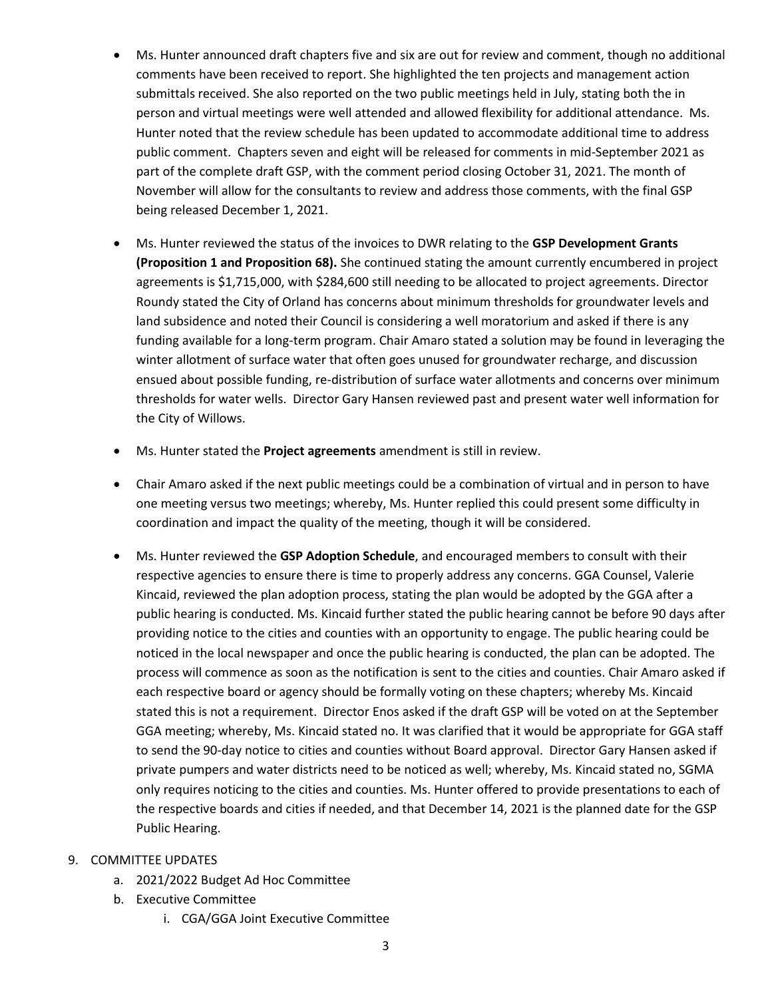- Ms. Hunter announced draft chapters five and six are out for review and comment, though no additional comments have been received to report. She highlighted the ten projects and management action submittals received. She also reported on the two public meetings held in July, stating both the in person and virtual meetings were well attended and allowed flexibility for additional attendance. Ms. Hunter noted that the review schedule has been updated to accommodate additional time to address public comment. Chapters seven and eight will be released for comments in mid-September 2021 as part of the complete draft GSP, with the comment period closing October 31, 2021. The month of November will allow for the consultants to review and address those comments, with the final GSP being released December 1, 2021.
- Ms. Hunter reviewed the status of the invoices to DWR relating to the **GSP Development Grants (Proposition 1 and Proposition 68).** She continued stating the amount currently encumbered in project agreements is \$1,715,000, with \$284,600 still needing to be allocated to project agreements. Director Roundy stated the City of Orland has concerns about minimum thresholds for groundwater levels and land subsidence and noted their Council is considering a well moratorium and asked if there is any funding available for a long-term program. Chair Amaro stated a solution may be found in leveraging the winter allotment of surface water that often goes unused for groundwater recharge, and discussion ensued about possible funding, re-distribution of surface water allotments and concerns over minimum thresholds for water wells. Director Gary Hansen reviewed past and present water well information for the City of Willows.
- Ms. Hunter stated the **Project agreements** amendment is still in review.
- Chair Amaro asked if the next public meetings could be a combination of virtual and in person to have one meeting versus two meetings; whereby, Ms. Hunter replied this could present some difficulty in coordination and impact the quality of the meeting, though it will be considered.
- Ms. Hunter reviewed the **GSP Adoption Schedule**, and encouraged members to consult with their respective agencies to ensure there is time to properly address any concerns. GGA Counsel, Valerie Kincaid, reviewed the plan adoption process, stating the plan would be adopted by the GGA after a public hearing is conducted. Ms. Kincaid further stated the public hearing cannot be before 90 days after providing notice to the cities and counties with an opportunity to engage. The public hearing could be noticed in the local newspaper and once the public hearing is conducted, the plan can be adopted. The process will commence as soon as the notification is sent to the cities and counties. Chair Amaro asked if each respective board or agency should be formally voting on these chapters; whereby Ms. Kincaid stated this is not a requirement. Director Enos asked if the draft GSP will be voted on at the September GGA meeting; whereby, Ms. Kincaid stated no. It was clarified that it would be appropriate for GGA staff to send the 90-day notice to cities and counties without Board approval. Director Gary Hansen asked if private pumpers and water districts need to be noticed as well; whereby, Ms. Kincaid stated no, SGMA only requires noticing to the cities and counties. Ms. Hunter offered to provide presentations to each of the respective boards and cities if needed, and that December 14, 2021 is the planned date for the GSP Public Hearing.
- 9. COMMITTEE UPDATES
	- a. 2021/2022 Budget Ad Hoc Committee
	- b. Executive Committee
		- i. CGA/GGA Joint Executive Committee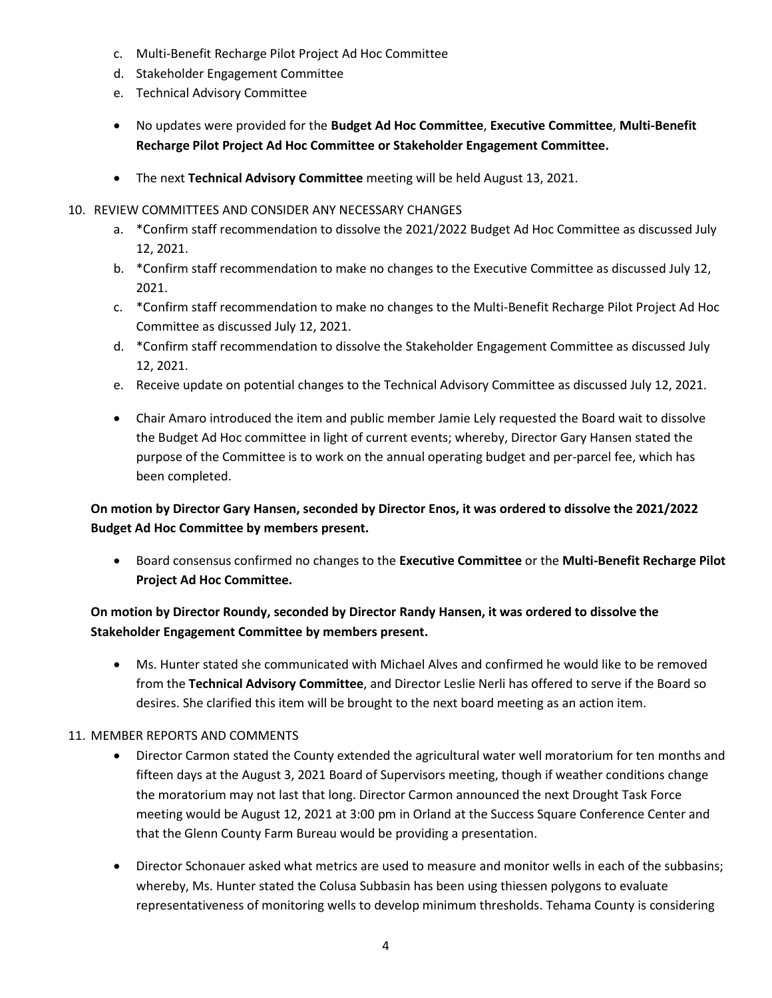- c. Multi-Benefit Recharge Pilot Project Ad Hoc Committee
- d. Stakeholder Engagement Committee
- e. Technical Advisory Committee
- No updates were provided for the **Budget Ad Hoc Committee**, **Executive Committee**, **Multi-Benefit Recharge Pilot Project Ad Hoc Committee or Stakeholder Engagement Committee.**
- The next **Technical Advisory Committee** meeting will be held August 13, 2021.

#### 10. REVIEW COMMITTEES AND CONSIDER ANY NECESSARY CHANGES

- a. \*Confirm staff recommendation to dissolve the 2021/2022 Budget Ad Hoc Committee as discussed July 12, 2021.
- b. \*Confirm staff recommendation to make no changes to the Executive Committee as discussed July 12, 2021.
- c. \*Confirm staff recommendation to make no changes to the Multi-Benefit Recharge Pilot Project Ad Hoc Committee as discussed July 12, 2021.
- d. \*Confirm staff recommendation to dissolve the Stakeholder Engagement Committee as discussed July 12, 2021.
- e. Receive update on potential changes to the Technical Advisory Committee as discussed July 12, 2021.
- Chair Amaro introduced the item and public member Jamie Lely requested the Board wait to dissolve the Budget Ad Hoc committee in light of current events; whereby, Director Gary Hansen stated the purpose of the Committee is to work on the annual operating budget and per-parcel fee, which has been completed.

# **On motion by Director Gary Hansen, seconded by Director Enos, it was ordered to dissolve the 2021/2022 Budget Ad Hoc Committee by members present.**

• Board consensus confirmed no changes to the **Executive Committee** or the **Multi-Benefit Recharge Pilot Project Ad Hoc Committee.** 

# **On motion by Director Roundy, seconded by Director Randy Hansen, it was ordered to dissolve the Stakeholder Engagement Committee by members present.**

• Ms. Hunter stated she communicated with Michael Alves and confirmed he would like to be removed from the **Technical Advisory Committee**, and Director Leslie Nerli has offered to serve if the Board so desires. She clarified this item will be brought to the next board meeting as an action item.

#### 11. MEMBER REPORTS AND COMMENTS

- Director Carmon stated the County extended the agricultural water well moratorium for ten months and fifteen days at the August 3, 2021 Board of Supervisors meeting, though if weather conditions change the moratorium may not last that long. Director Carmon announced the next Drought Task Force meeting would be August 12, 2021 at 3:00 pm in Orland at the Success Square Conference Center and that the Glenn County Farm Bureau would be providing a presentation.
- Director Schonauer asked what metrics are used to measure and monitor wells in each of the subbasins; whereby, Ms. Hunter stated the Colusa Subbasin has been using thiessen polygons to evaluate representativeness of monitoring wells to develop minimum thresholds. Tehama County is considering